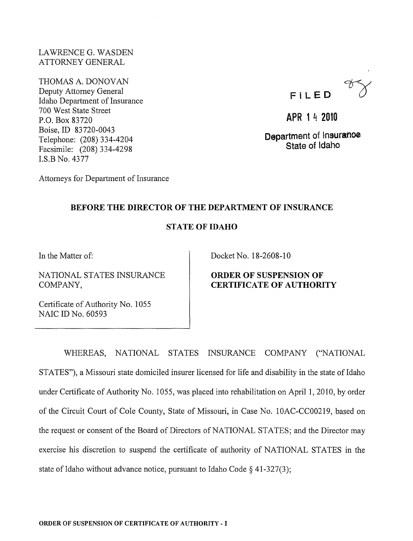LA WRENCE G. WASDEN ATTORNEY GENERAL

THOMAS A. DONOVAN Deputy Attorney General Idaho Department of Insurance 700 West State Street P.O. Box 83720 Boise,ID 83720-0043 Telephone: (208) 334-4204 Facsimile: (208) 334-4298 I.S.B No. 4377



APR 1 4 2010

Department of lnsuranoe State of Idaho

## BEFORE THE DIRECTOR OF THE DEPARTMENT OF INSURANCE

## STATE OF IDAHO

In the Matter of:

NATIONAL STATES INSURANCE COMPANY,

Attorneys for Department of Insurance

Docket No. 18-2608-10

ORDER OF SUSPENSION OF CERTIFICATE OF AUTHORITY

Certificate of Authority No. 1055 NAIC ID No. 60593

WHEREAS, NATIONAL STATES INSURANCE COMPANY ("NATIONAL

STATES"), a Missouri state domiciled insurer licensed for life and disability in the state of Idaho under Certificate of Authority No.1 055, was placed into rehabilitation on April 1,2010, by order of the Circuit Court of Cole County, State of Missouri, in Case No. 10AC-CC00219, based on the request or consent of the Board of Directors of NATIONAL STATES; and the Director may exercise his discretion to suspend the certificate of authority of NATIONAL STATES in the state of Idaho without advance notice, pursuant to Idaho Code  $\S$  41-327(3);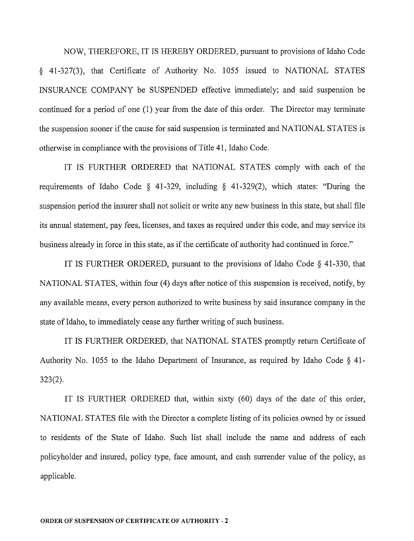NOW, THEREFORE, IT IS HEREBY ORDERED, pursuant to provisions of Idaho Code § 41-327(3), that Certificate of Authority No. 1055 issued to NATIONAL STATES INSURANCE COMPANY be SUSPENDED effective immediately; and said suspension be continued for a period of one (1) year from the date of this order. The Director may terminate the suspension sooner if the cause for said suspension is terminated and NATIONAL STATES is otherwise in compliance with the provisions of Title 41, Idaho Code.

IT IS FURTHER ORDERED that NATIONAL STATES comply with each of the requirements of Idaho Code § 41-329, including § 41-329(2), which states: "During the suspension period the insurer shall not solicit or write any new business in this state, but shall file its annual statement, pay fees, licenses, and taxes as required under this code, and may service its business already in force in this state, as if the certificate of authority had continued in force."

IT IS FURTHER ORDERED, pursuant to the provisions of Idaho Code  $\S$  41-330, that NATIONAL STATES, within four (4) days after notice of this suspension is received, notify, by any available means, every person authorized to write business by said insurance company in the state of Idaho, to immediately cease any further writing of such business.

IT IS FURTHER ORDERED, that NATIONAL STATES promptly return Certificate of Authority No. 1055 to the Idaho Department of Insurance, as required by Idaho Code § 41- 323(2).

IT IS FURTHER ORDERED that, within sixty (60) days of the date of this order, NATIONAL STATES file with the Director a complete listing of its policies owned by or issued to residents of the State of Idaho. Such list shall include the name and address of each policyholder and insured, policy type, face amount, and cash surrender value of the policy, as applicable.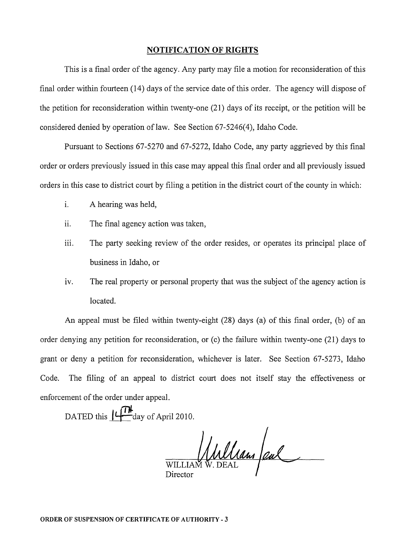## **NOTIFICATION OF RIGHTS**

This is a final order of the agency. Any party may file a motion for reconsideration of this final order within fourteen (14) days of the service date of this order. The agency will dispose of the petition for reconsideration within twenty-one (21) days of its receipt, or the petition will be considered denied by operation of law. See Section 67-5246(4), Idaho Code.

Pursuant to Sections 67-5270 and 67-5272, Idaho Code, any party aggrieved by this final order or orders previously issued in this case may appeal this final order and all previously issued orders in this case to district court by filing a petition in the district court of the county in which:

- i. A hearing was held,
- ii. The final agency action was taken,
- iii. The party seeking review of the order resides, or operates its principal place of business in Idaho, or
- iv. The real property or personal property that was the subject of the agency action is located.

An appeal must be filed within twenty-eight (28) days (a) of this final order, (b) of an order denying any petition for reconsideration, or (c) the failure within twenty-one (21) days to grant or deny a petition for reconsideration, whichever is later. See Section 67-5273, Idaho Code. The filing of an appeal to district court does not itself stay the effectiveness or enforcement of the order under appeal.

DATED this  $\mathbf{L}$   $\mathbf{L}$  day of April 2010.

WILLIAM W. DEAL Pul